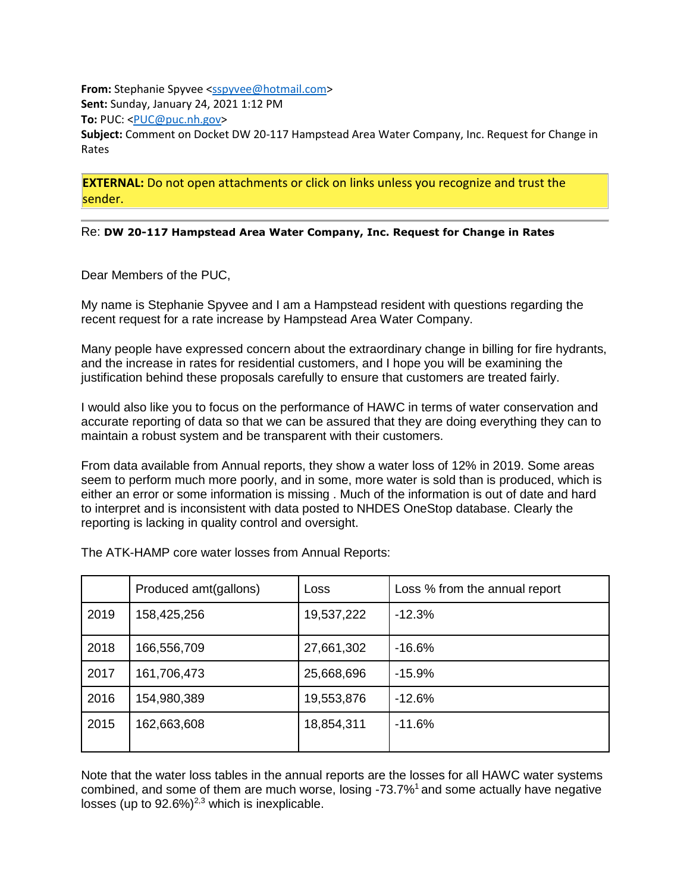**From:** Stephanie Spyvee [<sspyvee@hotmail.com>](mailto:sspyvee@hotmail.com) **Sent:** Sunday, January 24, 2021 1:12 PM **To:** PUC: [<PUC@puc.nh.gov>](mailto:PUC@puc.nh.gov) **Subject:** Comment on Docket DW 20-117 Hampstead Area Water Company, Inc. Request for Change in Rates

**EXTERNAL:** Do not open attachments or click on links unless you recognize and trust the sender.

## Re: **DW 20-117 Hampstead Area Water Company, Inc. Request for Change in Rates**

Dear Members of the PUC,

My name is Stephanie Spyvee and I am a Hampstead resident with questions regarding the recent request for a rate increase by Hampstead Area Water Company.

Many people have expressed concern about the extraordinary change in billing for fire hydrants, and the increase in rates for residential customers, and I hope you will be examining the justification behind these proposals carefully to ensure that customers are treated fairly.

I would also like you to focus on the performance of HAWC in terms of water conservation and accurate reporting of data so that we can be assured that they are doing everything they can to maintain a robust system and be transparent with their customers.

From data available from Annual reports, they show a water loss of 12% in 2019. Some areas seem to perform much more poorly, and in some, more water is sold than is produced, which is either an error or some information is missing . Much of the information is out of date and hard to interpret and is inconsistent with data posted to NHDES OneStop database. Clearly the reporting is lacking in quality control and oversight.

|      | Produced amt(gallons) | Loss       | Loss % from the annual report |
|------|-----------------------|------------|-------------------------------|
| 2019 | 158,425,256           | 19,537,222 | $-12.3%$                      |
| 2018 | 166,556,709           | 27,661,302 | $-16.6%$                      |
| 2017 | 161,706,473           | 25,668,696 | $-15.9%$                      |
| 2016 | 154,980,389           | 19,553,876 | $-12.6%$                      |
| 2015 | 162,663,608           | 18,854,311 | $-11.6%$                      |
|      |                       |            |                               |

The ATK-HAMP core water losses from Annual Reports:

Note that the water loss tables in the annual reports are the losses for all HAWC water systems combined, and some of them are much worse, losing -73.7%<sup>1</sup> and some actually have negative losses (up to  $92.6\%$ )<sup>2,3</sup> which is inexplicable.